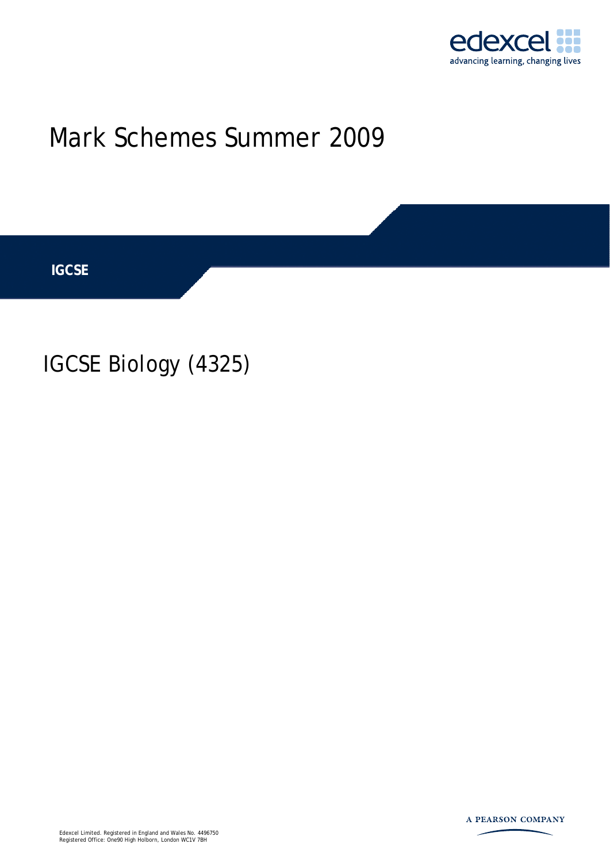

# Mark Schemes Summer 2009

**IGCSE** 

## IGCSE Biology (4325)

Edexcel Limited. Registered in England and Wales No. 4496750 Registered Office: One90 High Holborn, London WC1V 7BH

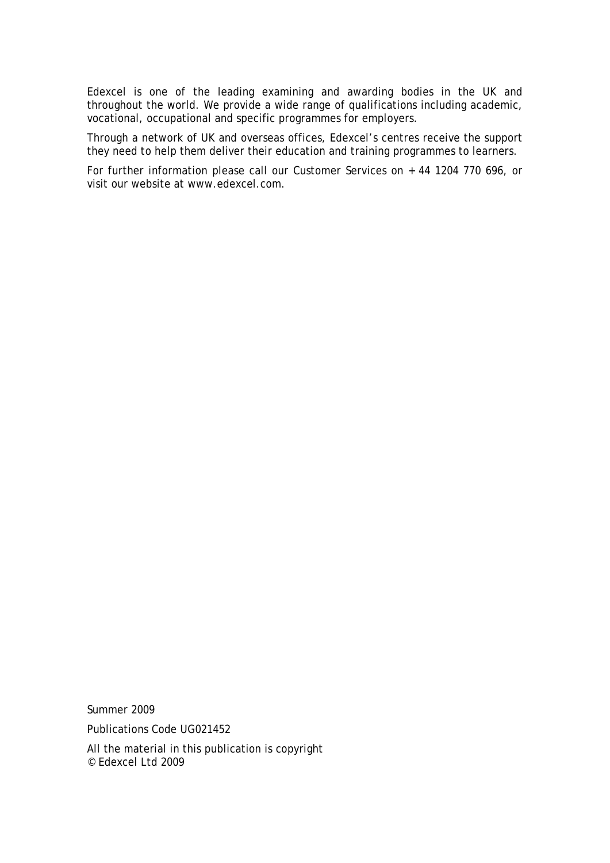Edexcel is one of the leading examining and awarding bodies in the UK and throughout the world. We provide a wide range of qualifications including academic, vocational, occupational and specific programmes for employers.

Through a network of UK and overseas offices, Edexcel's centres receive the support they need to help them deliver their education and training programmes to learners.

For further information please call our Customer Services on + 44 1204 770 696, or visit our website at www.edexcel.com.

Summer 2009 Publications Code UG021452 All the material in this publication is copyright © Edexcel Ltd 2009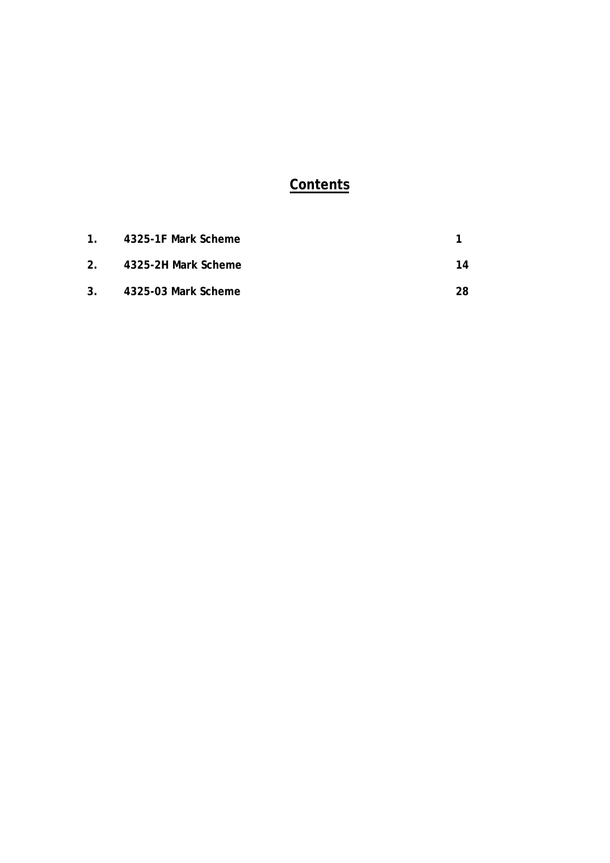### **Contents**

| 1. 4325-1F Mark Scheme |    |
|------------------------|----|
| 2. 4325-2H Mark Scheme | 14 |
| 3. 4325-03 Mark Scheme | 28 |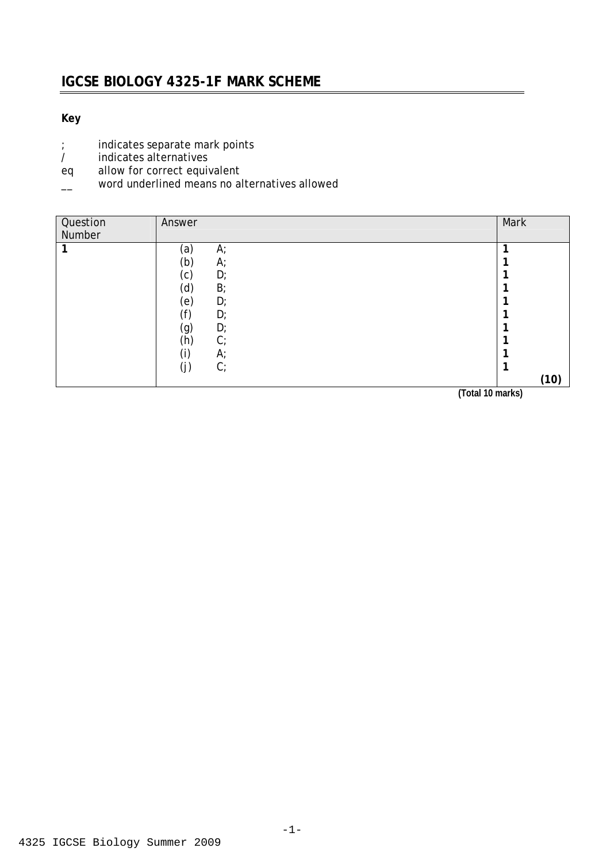#### **IGCSE BIOLOGY 4325-1F MARK SCHEME**

#### **Key**

- ; indicates separate mark points<br>/ indicates alternatives
- / indicates alternatives
- eq allow for correct equivalent
- $\overline{\phantom{a}}$  word underlined means no alternatives allowed

| Question | Answer |                                                                                                                                                                                                                                                                                                                    | Mark |
|----------|--------|--------------------------------------------------------------------------------------------------------------------------------------------------------------------------------------------------------------------------------------------------------------------------------------------------------------------|------|
| Number   |        |                                                                                                                                                                                                                                                                                                                    |      |
|          | (a)    | $A$ ;                                                                                                                                                                                                                                                                                                              |      |
|          | (b)    | A;                                                                                                                                                                                                                                                                                                                 |      |
|          | (c)    | D;                                                                                                                                                                                                                                                                                                                 |      |
|          | (d)    | $B$ ;                                                                                                                                                                                                                                                                                                              |      |
|          | (e)    | D;                                                                                                                                                                                                                                                                                                                 |      |
|          | (f)    | D;                                                                                                                                                                                                                                                                                                                 |      |
|          | (g)    | D;                                                                                                                                                                                                                                                                                                                 |      |
|          | (h)    | $C$ ;                                                                                                                                                                                                                                                                                                              |      |
|          | (i)    | $A$ ;                                                                                                                                                                                                                                                                                                              |      |
|          | (j)    | $C$ ;                                                                                                                                                                                                                                                                                                              |      |
|          |        | $\sqrt{2}$ $\sqrt{2}$ $\sqrt{2}$ $\sqrt{2}$ $\sqrt{2}$ $\sqrt{2}$ $\sqrt{2}$ $\sqrt{2}$ $\sqrt{2}$ $\sqrt{2}$ $\sqrt{2}$ $\sqrt{2}$ $\sqrt{2}$ $\sqrt{2}$ $\sqrt{2}$ $\sqrt{2}$ $\sqrt{2}$ $\sqrt{2}$ $\sqrt{2}$ $\sqrt{2}$ $\sqrt{2}$ $\sqrt{2}$ $\sqrt{2}$ $\sqrt{2}$ $\sqrt{2}$ $\sqrt{2}$ $\sqrt{2}$ $\sqrt{2$ | (10) |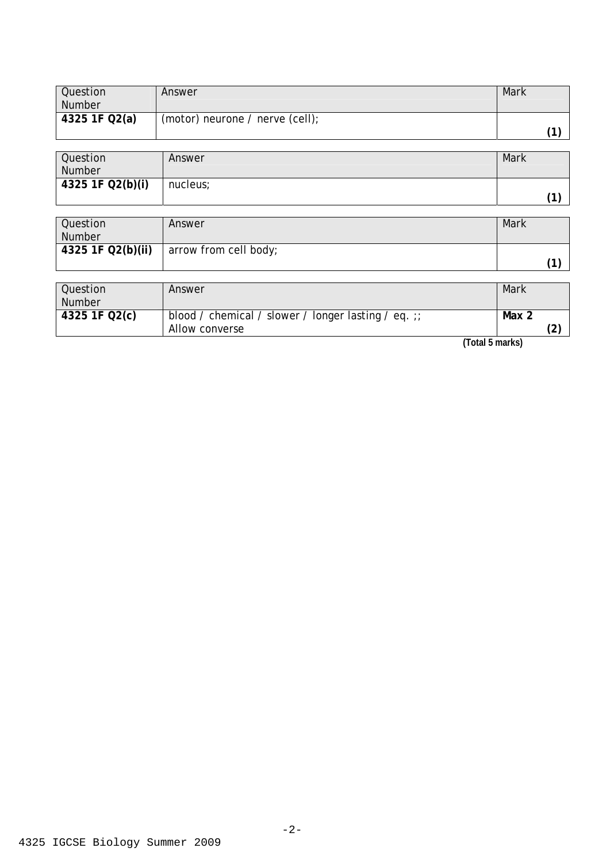| Question<br><b>Number</b> | Answer                                                                | <b>Mark</b> |     |
|---------------------------|-----------------------------------------------------------------------|-------------|-----|
| 4325 1F Q2(a)             | (motor) neurone / nerve (cell);                                       |             | (1) |
|                           |                                                                       |             |     |
| Question<br>Number        | Answer                                                                | <b>Mark</b> |     |
| $\sqrt{4325}$ 1F Q2(b)(i) | nucleus;                                                              |             | (1) |
|                           |                                                                       |             |     |
| Question<br>Number        | Answer                                                                | <b>Mark</b> |     |
| 4325 1F Q2(b)(ii)         | arrow from cell body;                                                 |             | (1) |
|                           |                                                                       |             |     |
| Question<br>Number        | Answer                                                                | <b>Mark</b> |     |
| 4325 1F Q2(c)             | blood / chemical / slower / longer lasting / eq. ;;<br>Allow converse | Max 2       | (2) |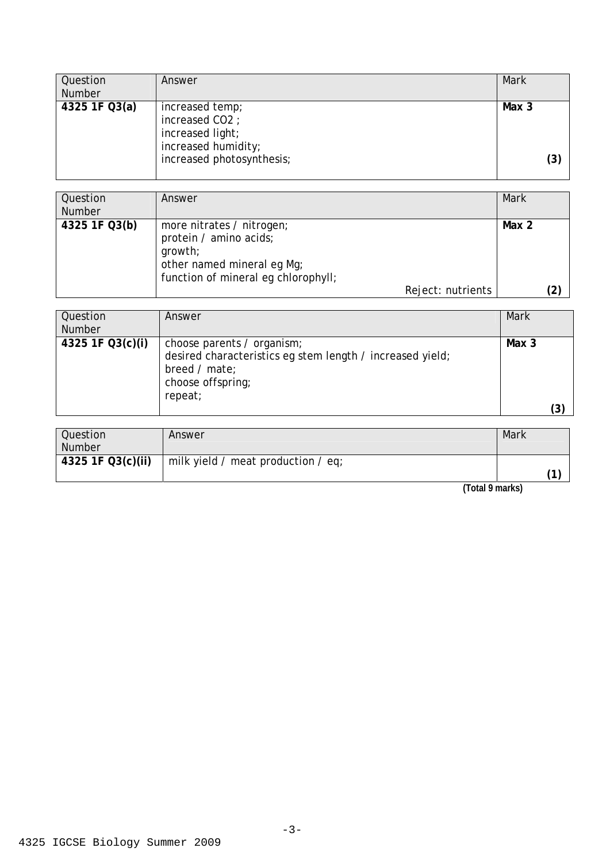| Question      | Answer                    | Mark  |     |
|---------------|---------------------------|-------|-----|
| Number        |                           |       |     |
| 4325 1F Q3(a) | increased temp;           | Max 3 |     |
|               | increased CO2 ;           |       |     |
|               | increased light;          |       |     |
|               | increased humidity;       |       |     |
|               | increased photosynthesis; |       | (3) |
|               |                           |       |     |

| Question      | Answer                              |                   | Mark  |    |
|---------------|-------------------------------------|-------------------|-------|----|
| <b>Number</b> |                                     |                   |       |    |
| 4325 1F Q3(b) | more nitrates / nitrogen;           |                   | Max 2 |    |
|               | protein / amino acids;              |                   |       |    |
|               | growth;                             |                   |       |    |
|               | other named mineral eg Mg;          |                   |       |    |
|               | function of mineral eg chlorophyll; |                   |       |    |
|               |                                     | Reject: nutrients |       | 2. |

| Question         | Answer                                                    | Mark  |     |
|------------------|-----------------------------------------------------------|-------|-----|
| <b>Number</b>    |                                                           |       |     |
| 4325 1F Q3(c)(i) | choose parents / organism;                                | Max 3 |     |
|                  | desired characteristics eg stem length / increased yield; |       |     |
|                  | breed / mate;                                             |       |     |
|                  | choose offspring;                                         |       |     |
|                  | repeat;                                                   |       |     |
|                  |                                                           |       | (3) |

| <b>Question</b>       | Answer                             | Mark |
|-----------------------|------------------------------------|------|
| Number                |                                    |      |
| $ $ 4325 1F Q3(c)(ii) | milk yield / meat production / eq; |      |
|                       |                                    | (1)  |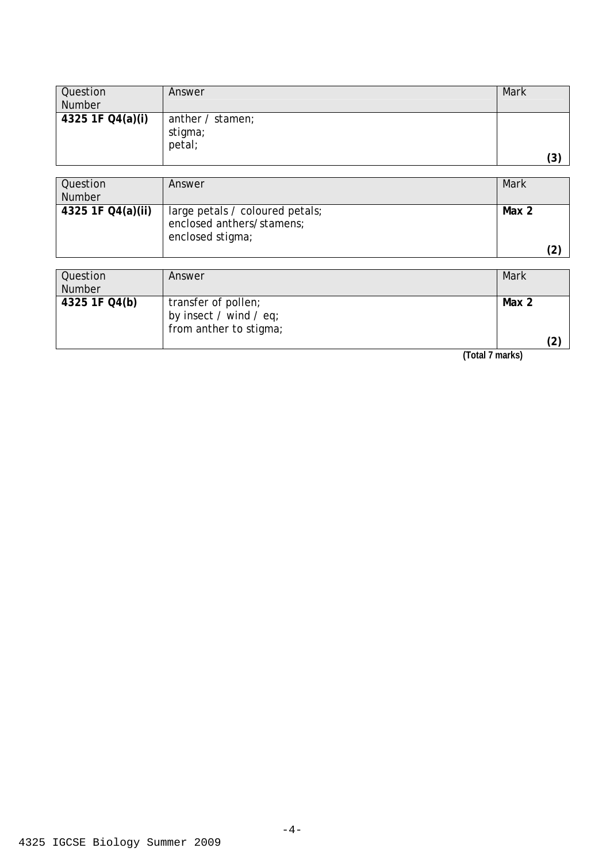| Question         | Answer                                       | Mark |
|------------------|----------------------------------------------|------|
| Number           |                                              |      |
| 4325 1F Q4(a)(i) | anther $\prime$ stamen;<br>stigma;<br>petal; |      |
|                  |                                              | (3)  |

| Question<br><b>Number</b> | Answer                                                                           | Mark  |     |
|---------------------------|----------------------------------------------------------------------------------|-------|-----|
| 4325 1F Q4(a)(ii)         | large petals / coloured petals;<br>enclosed anthers/stamens;<br>enclosed stigma; | Max 2 | ′つ` |

| <b>Question</b><br><b>Number</b> | Answer                                                                  | Mark  |  |
|----------------------------------|-------------------------------------------------------------------------|-------|--|
| 4325 1F Q4(b)                    | transfer of pollen;<br>by insect / wind / eq;<br>from anther to stigma; | Max 2 |  |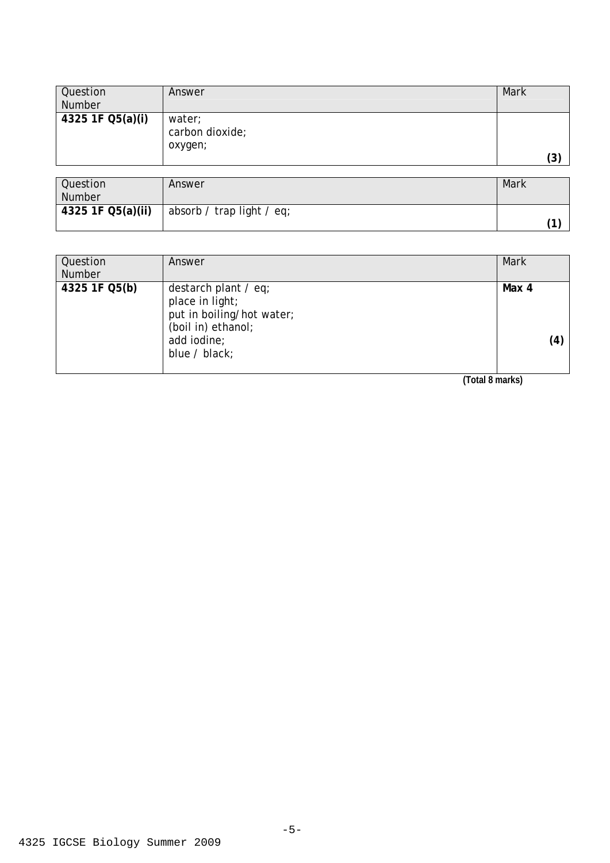| Question         | Answer          | <b>Mark</b> |
|------------------|-----------------|-------------|
| Number           |                 |             |
| 4325 1F Q5(a)(i) | water;          |             |
|                  | carbon dioxide; |             |
|                  | oxygen;         |             |
|                  |                 | (3)         |
|                  |                 |             |
| Question<br>.    | Answer          | <b>Mark</b> |

| <u>uussustuit</u> | ,,,,,,,,,,                | 111111 |
|-------------------|---------------------------|--------|
| Number            |                           |        |
| 4325 1F Q5(a)(ii) | absorb / trap light / eq; |        |
|                   |                           | 1      |

| Question<br><b>Number</b> | Answer                                                                                                                          | Mark  |     |
|---------------------------|---------------------------------------------------------------------------------------------------------------------------------|-------|-----|
| 4325 1F Q5(b)             | destarch plant $\ell$ eq;<br>place in light;<br>put in boiling/hot water;<br>(boil in) ethanol;<br>add iodine;<br>blue / black; | Max 4 | (4) |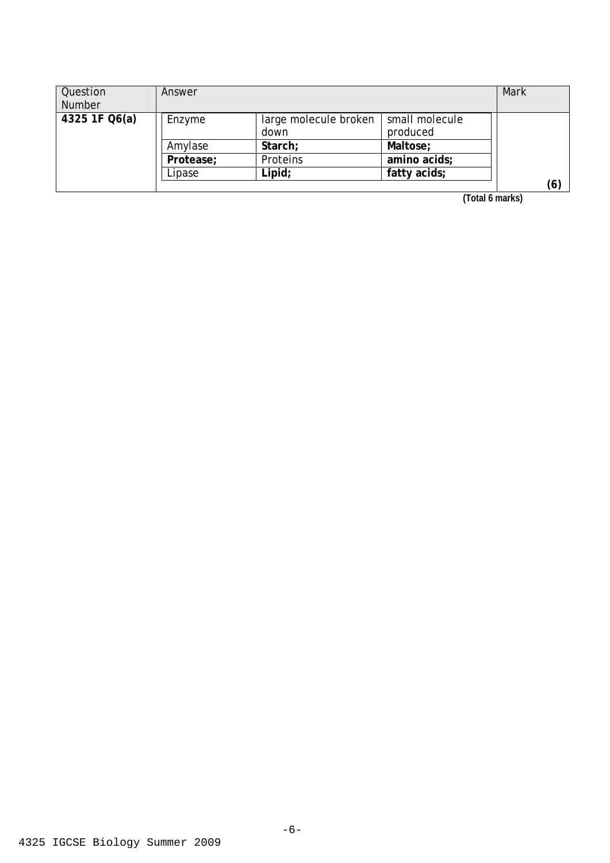| Question<br><b>Number</b> | Answer    |                               |                            | Mark |
|---------------------------|-----------|-------------------------------|----------------------------|------|
| 4325 1F Q6(a)             | Enzyme    | large molecule broken<br>down | small molecule<br>produced |      |
|                           | Amylase   | Starch;                       | Maltose;                   |      |
|                           | Protease; | Proteins                      | amino acids;               |      |
|                           | Lipase    | Lipid;                        | fatty acids;               |      |
|                           |           |                               |                            | (6)  |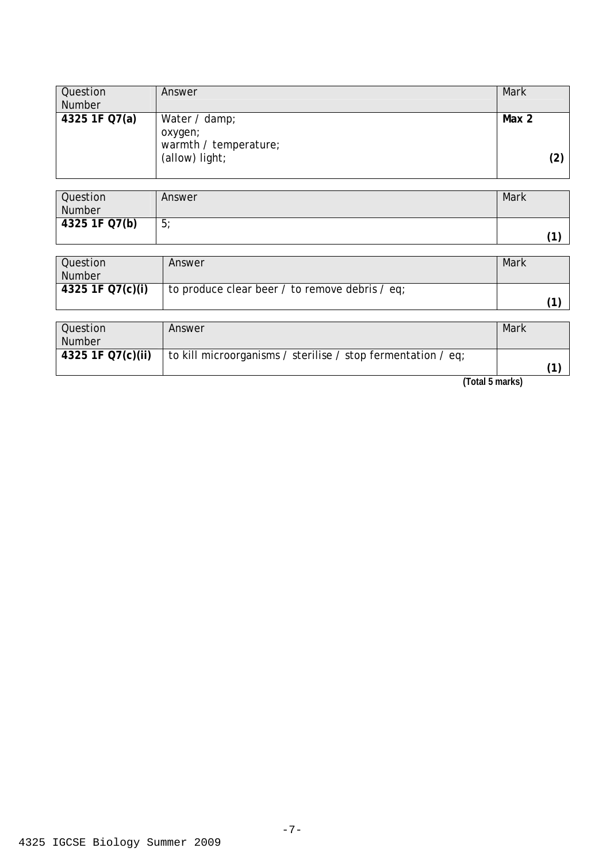| Question<br><b>Number</b> | Answer                                                              | Mark  |     |
|---------------------------|---------------------------------------------------------------------|-------|-----|
| 4325 1F Q7(a)             | Water / damp;<br>oxygen;<br>warmth / temperature;<br>(allow) light; | Max 2 | (2) |

| Question      | Answer | <b>Mark</b> |
|---------------|--------|-------------|
| Number        |        |             |
| 4325 1F Q7(b) | 5;     |             |
|               |        |             |

| Question           | Answer                                         | Mark |
|--------------------|------------------------------------------------|------|
| Number             |                                                |      |
| 4325 1F $Q7(c)(i)$ | to produce clear beer / to remove debris / eq; |      |
|                    |                                                |      |

| <b>Question</b>   | Answer                                                                                        | Mark |  |
|-------------------|-----------------------------------------------------------------------------------------------|------|--|
| <b>Number</b>     |                                                                                               |      |  |
| 4325 1F Q7(c)(ii) | to kill microorganisms / sterilise / stop fermentation / eq.                                  |      |  |
|                   |                                                                                               |      |  |
|                   | $\mathcal{L}$ . $\mathcal{L}$ . $\mathcal{L}$ . $\mathcal{L}$ . $\mathcal{L}$ . $\mathcal{L}$ |      |  |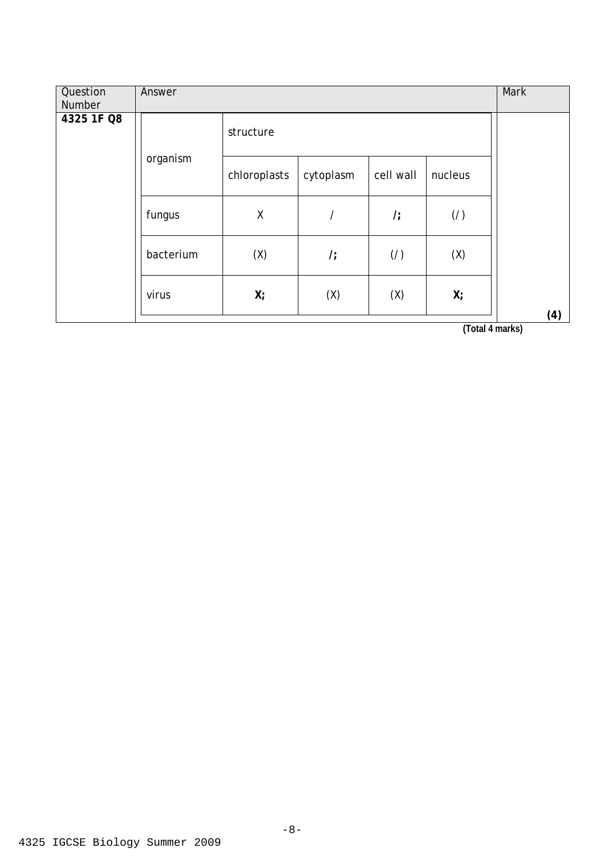| Question<br>Number | Answer    |                    |            |           | Mark                      |     |
|--------------------|-----------|--------------------|------------|-----------|---------------------------|-----|
| 4325 1F Q8         |           | structure          |            |           |                           |     |
|                    | organism  | chloroplasts       | cytoplasm  | cell wall | nucleus                   |     |
|                    | fungus    | $\pmb{\mathsf{X}}$ | $\prime$   | $\prime$  | $\left(\frac{\ }{\ }{\ }$ |     |
|                    | bacterium | (X)                | $\prime$ ; | $($ / $)$ | (X)                       |     |
|                    | virus     | X;                 | (X)        | (X)       | X;                        |     |
|                    |           |                    |            |           |                           | (4) |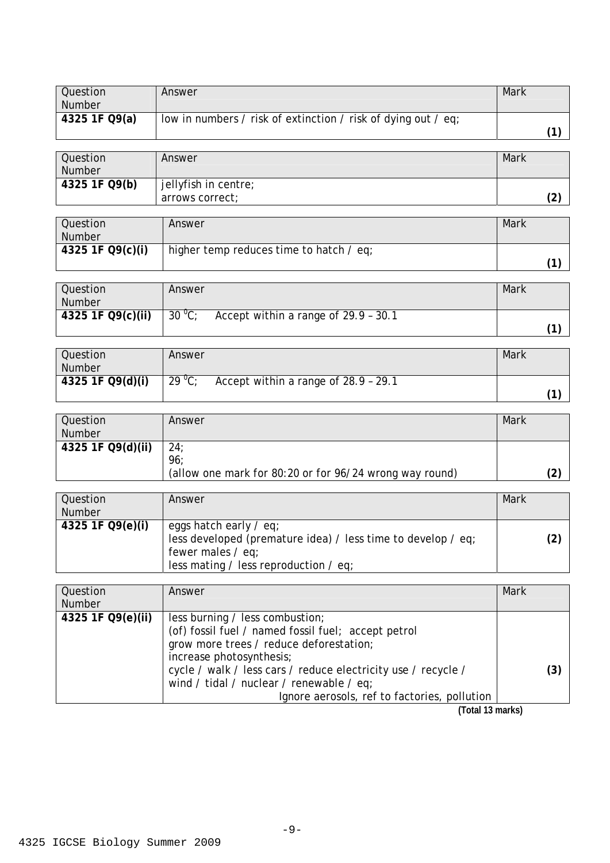| Question      | Answer                                                        | Mark |
|---------------|---------------------------------------------------------------|------|
| Number        |                                                               |      |
| 4325 1F Q9(a) | low in numbers / risk of extinction / risk of dying out / eq. |      |
|               |                                                               |      |

| Question<br>Number | Answer                                  | Mark              |
|--------------------|-----------------------------------------|-------------------|
| 4325 1F Q9(b)      | jellyfish in centre;<br>arrows correct; | $\left( 2\right)$ |

| Question         | Answer                                  | Mark |
|------------------|-----------------------------------------|------|
| Number           |                                         |      |
| 4325 1F Q9(c)(i) | higher temp reduces time to hatch / eq; |      |
|                  |                                         |      |

| Question          | Answer                                             | Mark |
|-------------------|----------------------------------------------------|------|
| <b>Number</b>     |                                                    |      |
| 4325 1F Q9(c)(ii) | 30 $^0C$ ;<br>Accept within a range of 29.9 - 30.1 |      |
|                   |                                                    |      |

| Question         | Answer                                                     | Mark |
|------------------|------------------------------------------------------------|------|
| Number           |                                                            |      |
| 4325 1F Q9(d)(i) | 29 <sup>0</sup> C;<br>Accept within a range of 28.9 - 29.1 |      |
|                  |                                                            |      |

| Question          | Answer                                                  | Mark        |
|-------------------|---------------------------------------------------------|-------------|
| <b>Number</b>     |                                                         |             |
| 4325 1F Q9(d)(ii) | 24:                                                     |             |
|                   | 96:                                                     |             |
|                   | (allow one mark for 80:20 or for 96/24 wrong way round) | $\mathbf 2$ |

| Question           | Answer                                                       | Mark |
|--------------------|--------------------------------------------------------------|------|
| <b>Number</b>      |                                                              |      |
| 4325 1F $Q9(e)(i)$ | eggs hatch early $\ell$ eg;                                  |      |
|                    | less developed (premature idea) / less time to develop / eq; |      |
|                    | fewer males $\ell$ eq;                                       |      |
|                    | less mating / less reproduction / eq;                        |      |

| Answer                                                        | Mark                                                |
|---------------------------------------------------------------|-----------------------------------------------------|
|                                                               |                                                     |
| less burning / less combustion;                               |                                                     |
|                                                               |                                                     |
| grow more trees / reduce deforestation;                       |                                                     |
| increase photosynthesis;                                      |                                                     |
| cycle / walk / less cars / reduce electricity use / recycle / | (3)                                                 |
| wind / tidal / nuclear / renewable / eq;                      |                                                     |
| Ignore aerosols, ref to factories, pollution                  |                                                     |
|                                                               | (of) fossil fuel / named fossil fuel; accept petrol |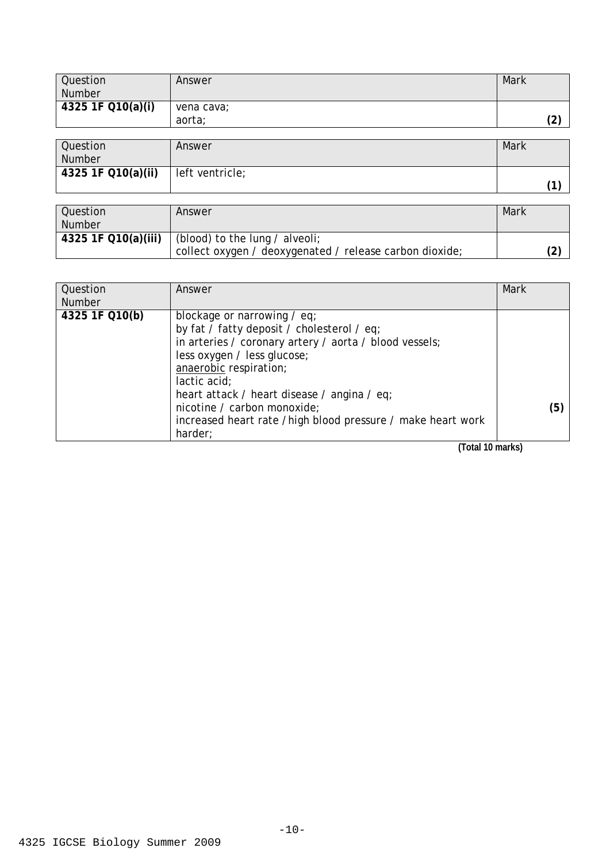| Question             | Answer     | Mark |
|----------------------|------------|------|
| Number               |            |      |
| $14325$ 1F Q10(a)(i) | vena cava; |      |
|                      | aorta;     | (2)  |
|                      |            |      |

| Question           | Answer          | Mark |
|--------------------|-----------------|------|
| <b>Number</b>      |                 |      |
| 4325 1F Q10(a)(ii) | left ventricle; |      |
|                    |                 | ำ    |

| Question            | Answer                                                  | Mark |
|---------------------|---------------------------------------------------------|------|
| Number              |                                                         |      |
| 4325 1F Q10(a)(iii) | (blood) to the lung $\ell$ alveoli;                     |      |
|                     | collect oxygen / deoxygenated / release carbon dioxide; | (2)  |

| Question<br><b>Number</b> | Answer                                                                                                                                                                                                                                                                                                                                                               | Mark |
|---------------------------|----------------------------------------------------------------------------------------------------------------------------------------------------------------------------------------------------------------------------------------------------------------------------------------------------------------------------------------------------------------------|------|
| 4325 1F Q10(b)            | blockage or narrowing / eq;<br>by fat / fatty deposit / cholesterol / eq;<br>in arteries / coronary artery / aorta / blood vessels;<br>less oxygen / less glucose;<br>anaerobic respiration;<br>lactic acid;<br>heart attack / heart disease / angina / eq;<br>nicotine / carbon monoxide;<br>increased heart rate /high blood pressure / make heart work<br>harder; | (5)  |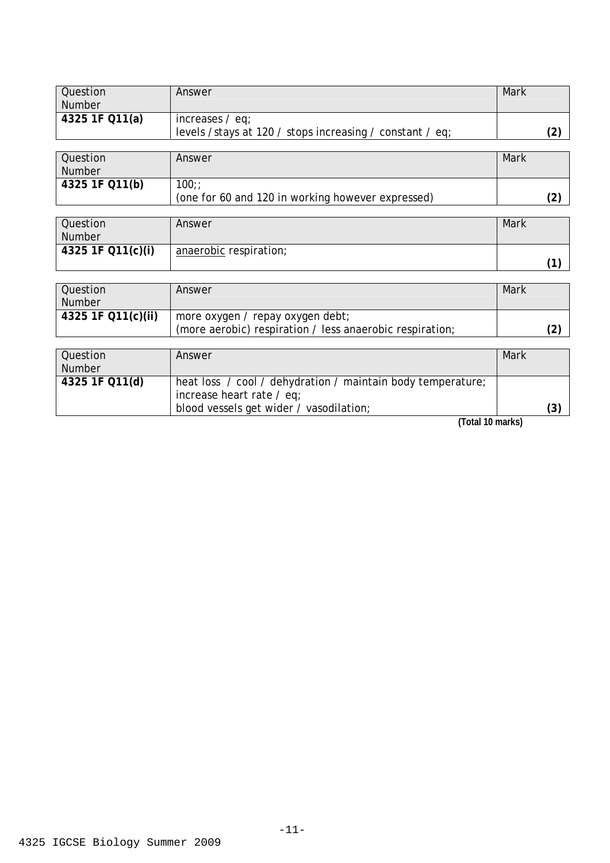| Question       | Answer                                                    | Mark              |
|----------------|-----------------------------------------------------------|-------------------|
| <b>Number</b>  |                                                           |                   |
| 4325 1F Q11(a) | increases / eq;                                           |                   |
|                | levels / stays at 120 / stops increasing / constant / eq; | $\left( 2\right)$ |

| Question       | Answer                                            | Mark |
|----------------|---------------------------------------------------|------|
| <b>Number</b>  |                                                   |      |
| 4325 1F Q11(b) | 100:                                              |      |
|                | (one for 60 and 120 in working however expressed) | ′ິ   |

| Question          | Answer                 | Mark |
|-------------------|------------------------|------|
| <b>Number</b>     |                        |      |
| 4325 1F Q11(c)(i) | anaerobic respiration; |      |
|                   |                        |      |

| Question             | Answer                                                   | Mark |
|----------------------|----------------------------------------------------------|------|
| <b>Number</b>        |                                                          |      |
| $4325$ 1F Q11(c)(ii) | more oxygen / repay oxygen debt;                         |      |
|                      | (more aerobic) respiration / less anaerobic respiration; |      |

| Question       | Answer                                                      | Mark |
|----------------|-------------------------------------------------------------|------|
| <b>Number</b>  |                                                             |      |
| 4325 1F Q11(d) | heat loss / cool / dehydration / maintain body temperature; |      |
|                | increase heart rate $\ell$ eq;                              |      |
|                | blood vessels get wider / vasodilation;                     | (3)  |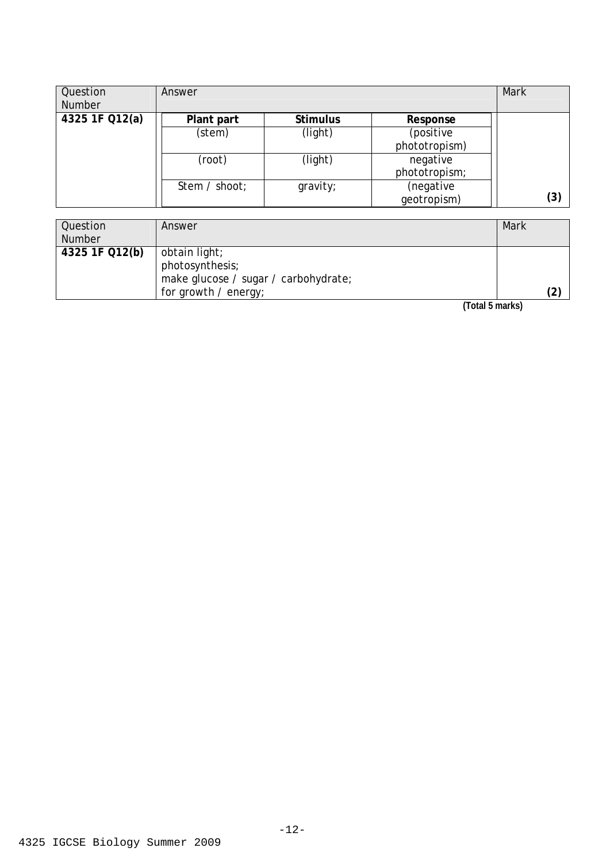| Question<br><b>Number</b> | Answer        |                 |               | Mark |
|---------------------------|---------------|-----------------|---------------|------|
| 4325 1F Q12(a)            | Plant part    | <b>Stimulus</b> | Response      |      |
|                           | (stem)        | (light)         | (positive     |      |
|                           |               |                 | phototropism) |      |
|                           | (root)        | (light)         | negative      |      |
|                           |               |                 | phototropism; |      |
|                           | Stem / shoot; | gravity;        | (negative     |      |
|                           |               |                 | geotropism)   | (3)  |

| Question<br><b>Number</b> | Answer                                                                                                  | Mark |
|---------------------------|---------------------------------------------------------------------------------------------------------|------|
| 4325 1F Q12(b)            | obtain light;<br>photosynthesis;<br>make glucose / sugar / carbohydrate;<br>for growth $\prime$ energy; | (2)  |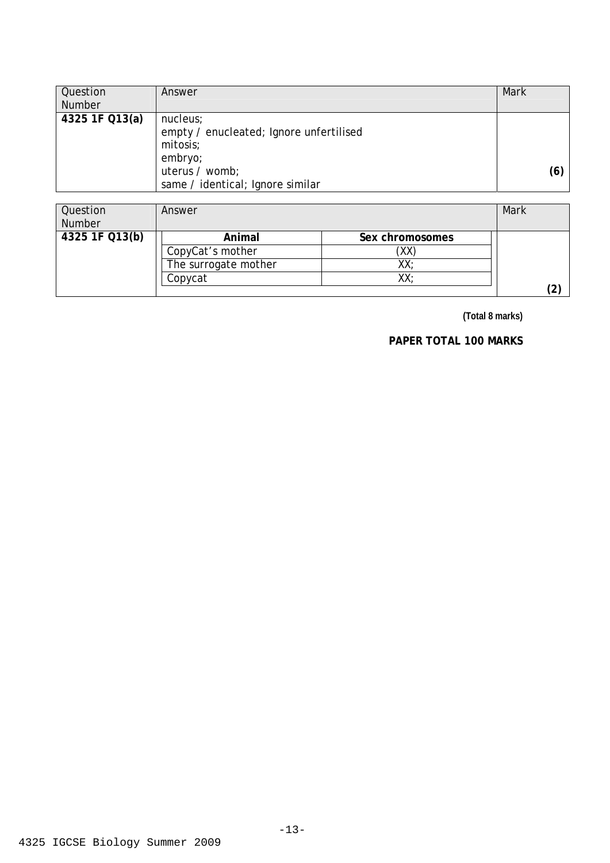| Question<br><b>Number</b> | Answer                                  | Mark |
|---------------------------|-----------------------------------------|------|
|                           |                                         |      |
| 4325 1F Q13(a)            | nucleus;                                |      |
|                           | empty / enucleated; Ignore unfertilised |      |
|                           | mitosis;                                |      |
|                           | embryo;                                 |      |
|                           | uterus / womb;                          | (6)  |
|                           | same / identical; Ignore similar        |      |

| Question       | Answer               |                 | Mark |
|----------------|----------------------|-----------------|------|
| Number         |                      |                 |      |
| 4325 1F Q13(b) | Animal               | Sex chromosomes |      |
|                | CopyCat's mother     | (XX             |      |
|                | The surrogate mother | XX:             |      |
|                | Copycat              | XX:             |      |
|                |                      |                 |      |

**PAPER TOTAL 100 MARKS**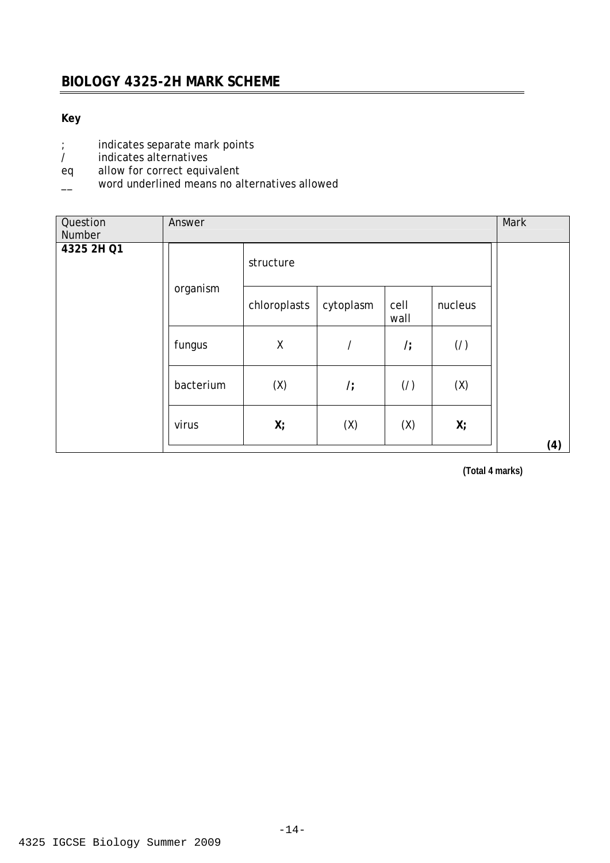#### **BIOLOGY 4325-2H MARK SCHEME**

#### **Key**

- ; indicates separate mark points<br>/ indicates alternatives
- / indicates alternatives
- eq allow for correct equivalent
- $\overline{\phantom{a}}$  word underlined means no alternatives allowed

| Question<br>Number | Answer    |              |                          |              | Mark                      |     |
|--------------------|-----------|--------------|--------------------------|--------------|---------------------------|-----|
| 4325 2H Q1         |           | structure    |                          |              |                           |     |
|                    | organism  | chloroplasts | cytoplasm                | cell<br>wall | nucleus                   |     |
|                    | fungus    | Χ            | $\overline{\phantom{a}}$ | $\prime$     | $\left(\frac{\ }{\ }{\ }$ |     |
|                    | bacterium | (X)          | $\prime$ ;               | $($ / $)$    | (X)                       |     |
|                    | virus     | X;           | (X)                      | (X)          | X;                        | (4) |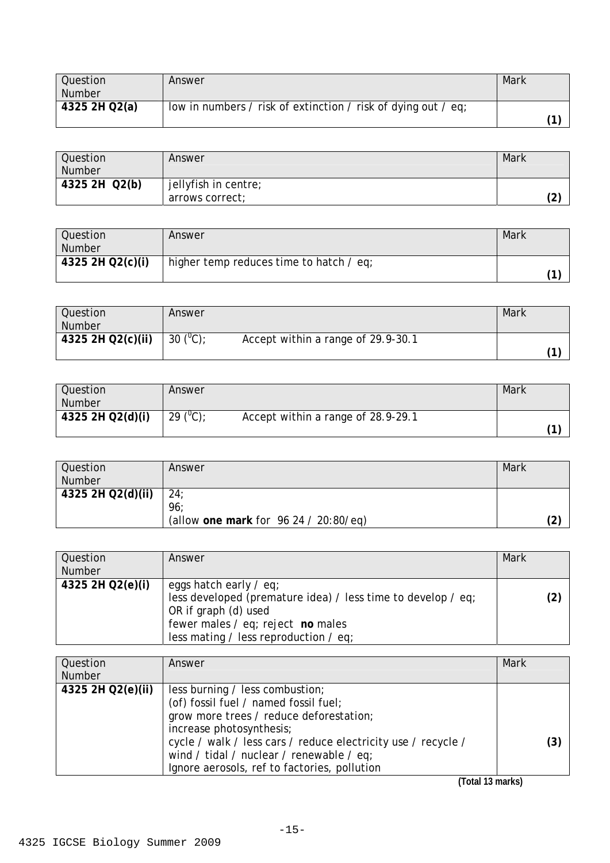| Question      | Answer                                                        | Mark |
|---------------|---------------------------------------------------------------|------|
| <b>Number</b> |                                                               |      |
| 4325 2H Q2(a) | low in numbers / risk of extinction / risk of dying out / eq. |      |
|               |                                                               |      |

| Question      | Answer               | Mark              |
|---------------|----------------------|-------------------|
| Number        |                      |                   |
| 4325 2H Q2(b) | jellyfish in centre; |                   |
|               | arrows correct;      | $\left( 2\right)$ |

| Question         | Answer                                  | Mark |
|------------------|-----------------------------------------|------|
| <b>Number</b>    |                                         |      |
| 4325 2H Q2(c)(i) | higher temp reduces time to hatch / eq; |      |
|                  |                                         |      |

| Question          | Answer        |                                    | Mark |  |
|-------------------|---------------|------------------------------------|------|--|
| Number            |               |                                    |      |  |
| 4325 2H Q2(c)(ii) | 30 ( $^0C$ ); | Accept within a range of 29.9-30.1 |      |  |
|                   |               |                                    |      |  |

| Question         | Answer        |                                    | Mark |
|------------------|---------------|------------------------------------|------|
| Number           |               |                                    |      |
| 4325 2H Q2(d)(i) | 29 ( $^0C$ ); | Accept within a range of 28.9-29.1 |      |
|                  |               |                                    |      |

| <b>Question</b><br>Number | Answer                                          | Mark |
|---------------------------|-------------------------------------------------|------|
| 4325 2H Q2(d)(ii)         | 24:                                             |      |
|                           | 96:                                             |      |
|                           | (allow one mark for $9624 / 20:80 \text{/eq}$ ) | (2   |

| Question         | Answer                                                                                                                                                                                            | Mark |
|------------------|---------------------------------------------------------------------------------------------------------------------------------------------------------------------------------------------------|------|
| <b>Number</b>    |                                                                                                                                                                                                   |      |
| 4325 2H Q2(e)(i) | eggs hatch early $\ell$ eq;<br>less developed (premature idea) / less time to develop / eq;<br>OR if graph (d) used<br>fewer males / eq; reject no males<br>less mating / less reproduction / eq; | (2)  |

| 4325 2H Q2(e)(ii)<br>less burning / less combustion;<br>(of) fossil fuel / named fossil fuel;<br>grow more trees / reduce deforestation;<br>increase photosynthesis;<br>cycle / walk / less cars / reduce electricity use / recycle /<br>wind / tidal / nuclear / renewable / eq; | Question<br><b>Number</b> | Answer                                       | Mark |
|-----------------------------------------------------------------------------------------------------------------------------------------------------------------------------------------------------------------------------------------------------------------------------------|---------------------------|----------------------------------------------|------|
| $(1 - 1 - 1)$ 4.0 $-1$ $-1$                                                                                                                                                                                                                                                       |                           | Ignore aerosols, ref to factories, pollution |      |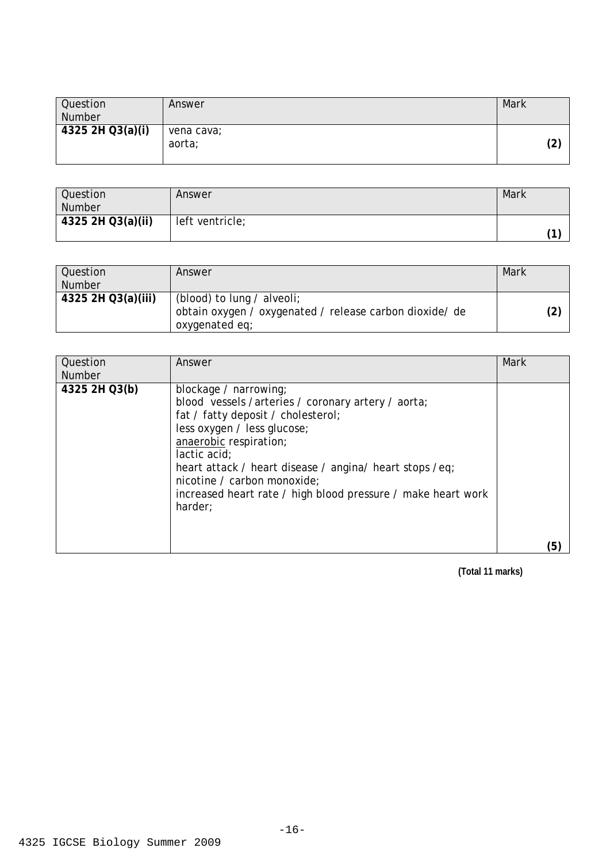| Question<br>Number | Answer               | Mark              |
|--------------------|----------------------|-------------------|
| 4325 2H Q3(a)(i)   | vena cava;<br>aorta; | $\left( 2\right)$ |

| Question          | Answer          | Mark |
|-------------------|-----------------|------|
| Number            |                 |      |
| 4325 2H Q3(a)(ii) | left ventricle; |      |
|                   |                 | ′1   |

| Question<br><b>Number</b> | Answer                                                                                                  | Mark |
|---------------------------|---------------------------------------------------------------------------------------------------------|------|
| 4325 2H Q3(a)(iii)        | (blood) to lung / alveoli;<br>obtain oxygen / oxygenated / release carbon dioxide/ de<br>oxygenated eq; | (2)  |

| Question      | Answer                                                                                                                                                                                                                                                                                                                                                                  | Mark |
|---------------|-------------------------------------------------------------------------------------------------------------------------------------------------------------------------------------------------------------------------------------------------------------------------------------------------------------------------------------------------------------------------|------|
| <b>Number</b> |                                                                                                                                                                                                                                                                                                                                                                         |      |
| 4325 2H Q3(b) | blockage $\prime$ narrowing;<br>blood vessels / arteries / coronary artery / aorta;<br>fat / fatty deposit / cholesterol;<br>less oxygen / less glucose;<br>anaerobic respiration;<br>lactic acid;<br>heart attack / heart disease / angina/ heart stops /eq;<br>nicotine / carbon monoxide;<br>increased heart rate / high blood pressure / make heart work<br>harder; |      |
|               |                                                                                                                                                                                                                                                                                                                                                                         | 5)   |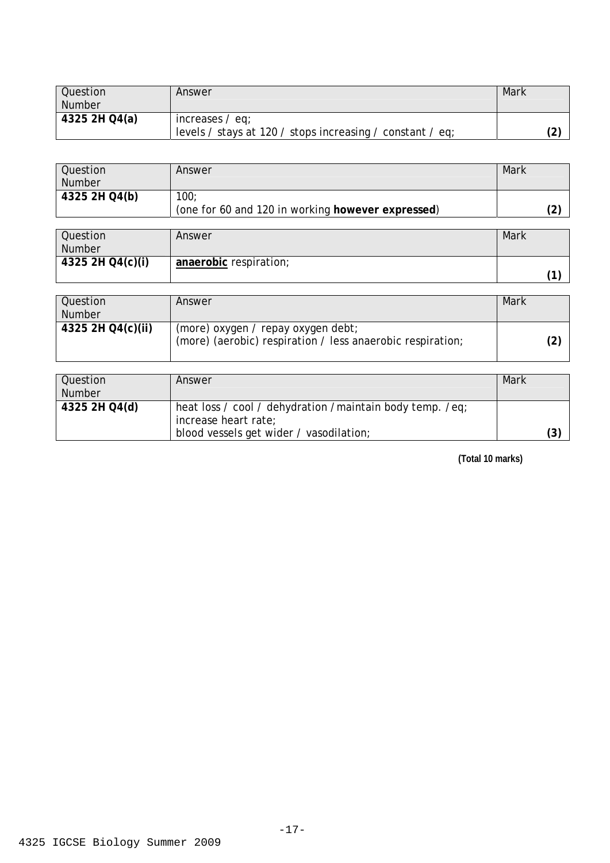| Question      | Answer                                                    | Mark              |
|---------------|-----------------------------------------------------------|-------------------|
| Number        |                                                           |                   |
| 4325 2H Q4(a) | increases / eq;                                           |                   |
|               | levels / stays at 120 / stops increasing / constant / eq. | $\left( 2\right)$ |

| Question<br>Number | Answer                                                   | Mark           |
|--------------------|----------------------------------------------------------|----------------|
| 4325 2H Q4(b)      | 100<br>(one for 60 and 120 in working however expressed) | $\overline{2}$ |

| Question         | Answer                 | Mark |
|------------------|------------------------|------|
| Number           |                        |      |
| 4325 2H Q4(c)(i) | anaerobic respiration; |      |
|                  |                        |      |

| Question          | Answer                                                                                           | Mark              |
|-------------------|--------------------------------------------------------------------------------------------------|-------------------|
| <b>Number</b>     |                                                                                                  |                   |
| 4325 2H Q4(c)(ii) | (more) oxygen / repay oxygen debt;<br>(more) (aerobic) respiration / less anaerobic respiration; | $\left( 2\right)$ |

| Question<br><b>Number</b> | Answer                                                    | Mark |
|---------------------------|-----------------------------------------------------------|------|
| 4325 2H Q4(d)             | heat loss / cool / dehydration / maintain body temp. /eq. |      |
|                           | increase heart rate;                                      |      |
|                           | blood vessels get wider / vasodilation;                   | (3)  |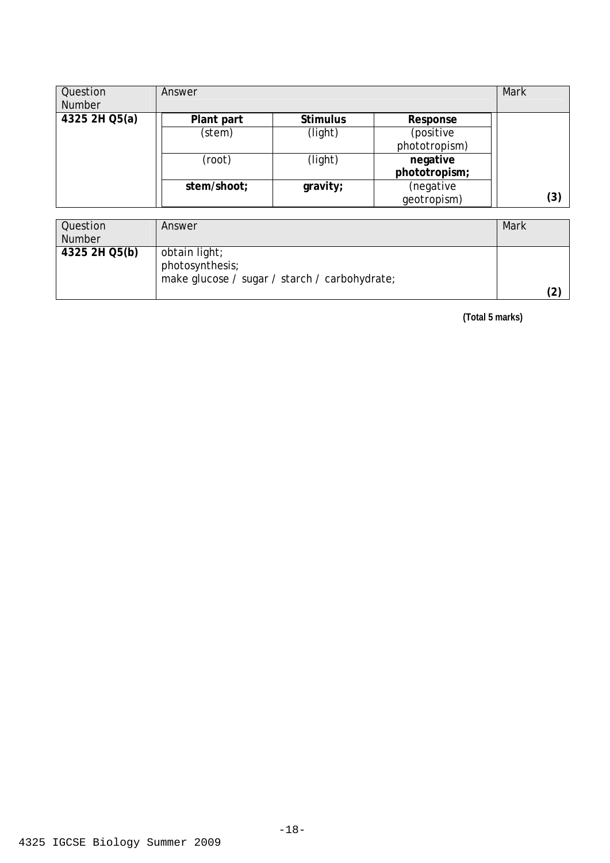| Question<br><b>Number</b> | Answer      |                 |                            | Mark |
|---------------------------|-------------|-----------------|----------------------------|------|
| 4325 2H Q5(a)             | Plant part  | <b>Stimulus</b> | Response                   |      |
|                           | (stem)      | (light)         | (positive<br>phototropism) |      |
|                           | (root)      | (light)         | negative<br>phototropism;  |      |
|                           | stem/shoot; | gravity;        | (negative<br>geotropism)   | (3)  |

| Question<br><b>Number</b> | Answer                                                                            | Mark |
|---------------------------|-----------------------------------------------------------------------------------|------|
| 4325 2H Q5(b)             | obtain light;<br>photosynthesis;<br>make glucose / sugar / starch / carbohydrate; | (2   |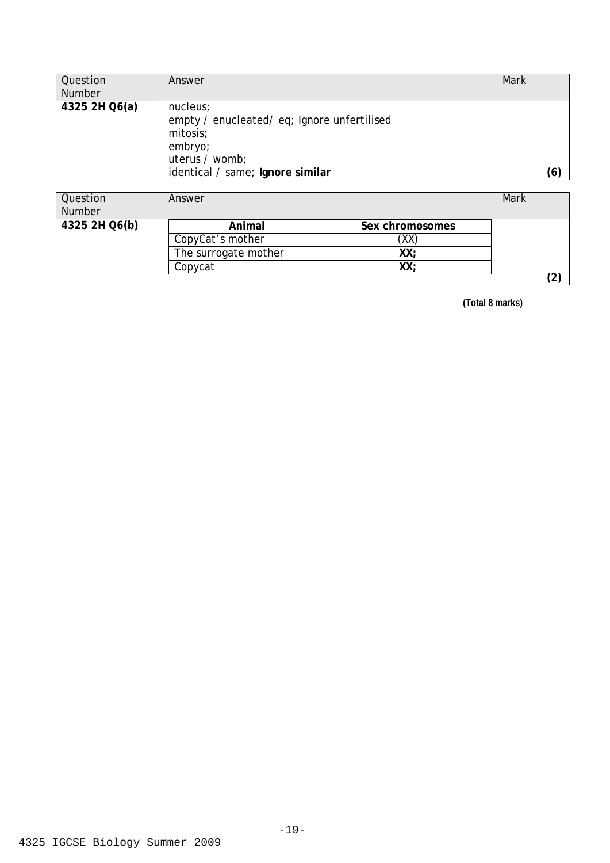| Question      | Answer                                     | Mark |
|---------------|--------------------------------------------|------|
| <b>Number</b> |                                            |      |
| 4325 2H Q6(a) | nucleus;                                   |      |
|               | empty / enucleated/eq; Ignore unfertilised |      |
|               | mitosis;                                   |      |
|               | embryo;                                    |      |
|               | uterus / womb;                             |      |
|               | identical / same; Ignore similar           | (6)  |

| Question<br><b>Number</b> | Answer                     |                         | Mark |
|---------------------------|----------------------------|-------------------------|------|
| 4325 2H Q6(b)             | Animal<br>CopyCat's mother | Sex chromosomes<br>(XX) |      |
|                           | The surrogate mother       | XX                      |      |
|                           | Copycat                    | XX;                     |      |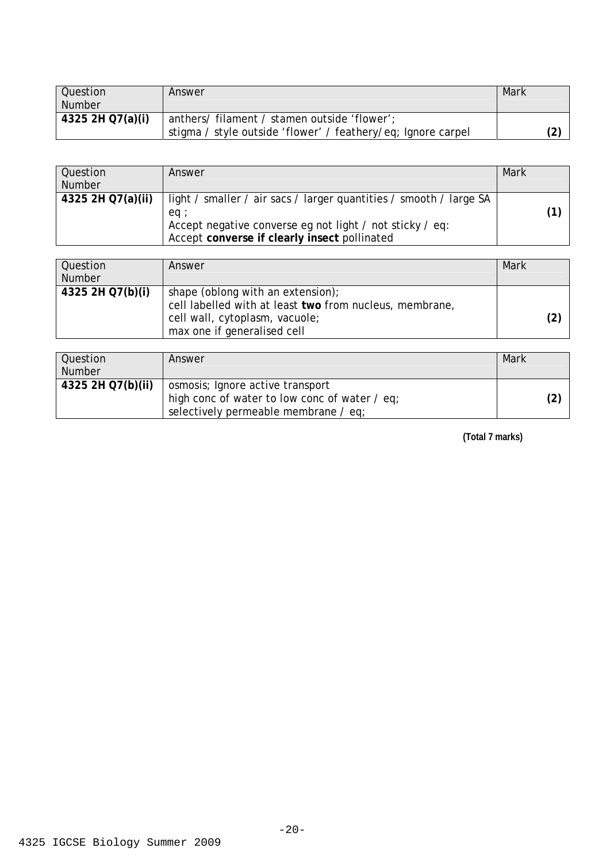| Question         | Answer                                                       | Mark |
|------------------|--------------------------------------------------------------|------|
| Number           |                                                              |      |
| 4325 2H Q7(a)(i) | anthers/ filament / stamen outside 'flower';                 |      |
|                  | stigma / style outside 'flower' / feathery/eg; Ignore carpel | (2)  |

| Question<br><b>Number</b> | Answer                                                                                                                                                                               | Mark |
|---------------------------|--------------------------------------------------------------------------------------------------------------------------------------------------------------------------------------|------|
| 4325 2H Q7(a)(ii)         | light / smaller / air sacs / larger quantities / smooth / large SA<br>eq<br>Accept negative converse eg not light / not sticky / eq:<br>Accept converse if clearly insect pollinated | (1   |

| Question         | Answer                                                  | Mark |
|------------------|---------------------------------------------------------|------|
| <b>Number</b>    |                                                         |      |
| 4325 2H Q7(b)(i) | shape (oblong with an extension);                       |      |
|                  | cell labelled with at least two from nucleus, membrane, |      |
|                  | cell wall, cytoplasm, vacuole;                          | (2)  |
|                  | max one if generalised cell                             |      |

| Question            | Answer                                        | Mark |
|---------------------|-----------------------------------------------|------|
| <b>Number</b>       |                                               |      |
| $4325$ 2H Q7(b)(ii) | osmosis; Ignore active transport              |      |
|                     | high conc of water to low conc of water / eq; | (2)  |
|                     | selectively permeable membrane / eq;          |      |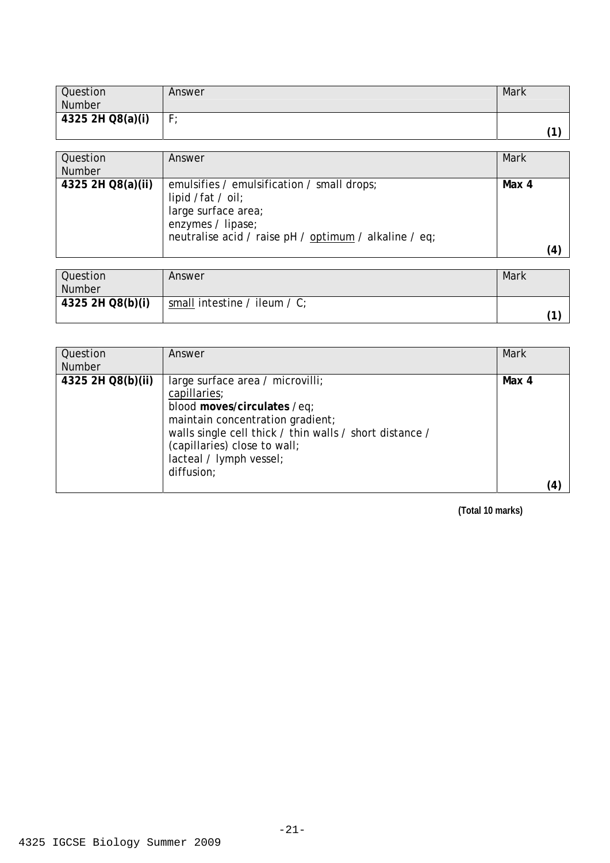| Question         | Answer | Mark |
|------------------|--------|------|
| <b>Number</b>    |        |      |
| 4325 2H Q8(a)(i) | .      |      |
|                  |        | ′1`  |

| Question          | Answer                                                | Mark  |
|-------------------|-------------------------------------------------------|-------|
| <b>Number</b>     |                                                       |       |
| 4325 2H Q8(a)(ii) | emulsifies / emulsification / small drops;            | Max 4 |
|                   | lipid /fat / oil;                                     |       |
|                   | large surface area;                                   |       |
|                   | enzymes / lipase;                                     |       |
|                   | neutralise acid / raise pH / optimum / alkaline / eq; |       |
|                   |                                                       | (4)   |

| Question<br>Number | Answer                          | Mark |
|--------------------|---------------------------------|------|
| 4325 2H Q8(b)(i)   | small intestine / ileum / $C$ ; |      |

| Question                   | Answer                                                  | Mark  |     |
|----------------------------|---------------------------------------------------------|-------|-----|
| <b>Number</b>              |                                                         |       |     |
| $\sqrt{4325}$ 2H Q8(b)(ii) | large surface area / microvilli;                        | Max 4 |     |
|                            | capillaries;<br>blood moves/circulates /eq;             |       |     |
|                            | maintain concentration gradient;                        |       |     |
|                            | walls single cell thick / thin walls / short distance / |       |     |
|                            | (capillaries) close to wall;                            |       |     |
|                            | lacteal / lymph vessel;                                 |       |     |
|                            | diffusion;                                              |       | (4) |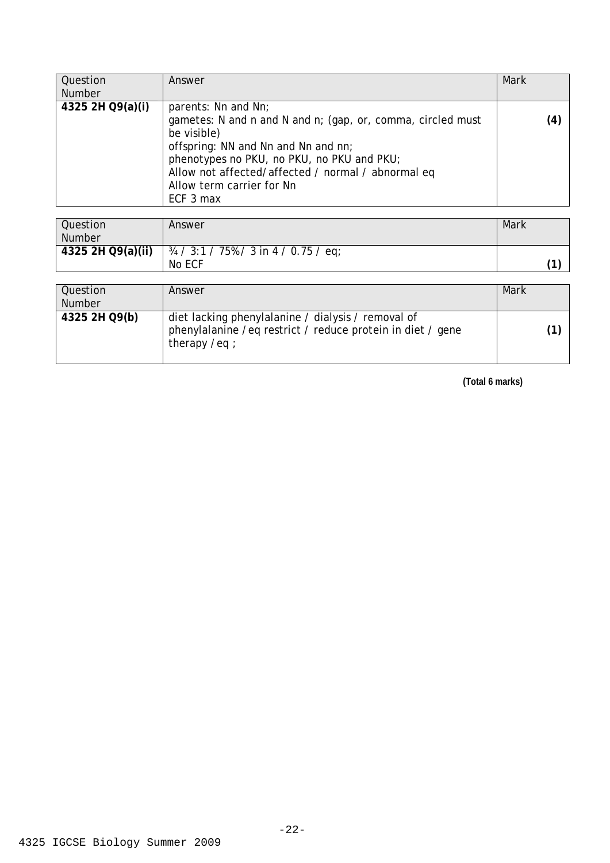| Question         | Answer                                                      | Mark |
|------------------|-------------------------------------------------------------|------|
| <b>Number</b>    |                                                             |      |
| 4325 2H Q9(a)(i) | parents: Nn and Nn;                                         |      |
|                  | gametes: N and n and N and n; (gap, or, comma, circled must | (4)  |
|                  | be visible)                                                 |      |
|                  | offspring: NN and Nn and Nn and nn;                         |      |
|                  | phenotypes no PKU, no PKU, no PKU and PKU;                  |      |
|                  | Allow not affected/affected / normal / abnormal eq          |      |
|                  | Allow term carrier for Nn                                   |      |
|                  | ECF 3 max                                                   |      |

| Question          | Answer                                          | Mark |
|-------------------|-------------------------------------------------|------|
| <b>Number</b>     |                                                 |      |
| 4325 2H Q9(a)(ii) | $\frac{3}{4}$ / 3:1 / 75% / 3 in 4 / 0.75 / eq; |      |
|                   | No ECF                                          |      |

| Question<br><b>Number</b> | Answer                                                                                                                               | Mark |
|---------------------------|--------------------------------------------------------------------------------------------------------------------------------------|------|
| 4325 2H Q9(b)             | diet lacking phenylalanine / dialysis / removal of<br>phenylalanine / eq restrict / reduce protein in diet / gene<br>therapy $/eq$ ; |      |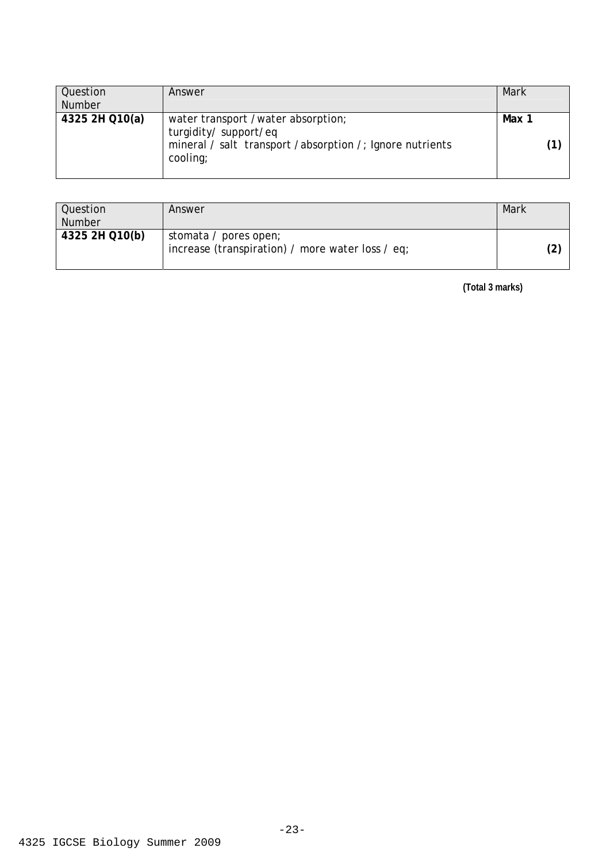| Question<br><b>Number</b> | Answer                                                                                                                              | Mark  |
|---------------------------|-------------------------------------------------------------------------------------------------------------------------------------|-------|
| 4325 2H Q10(a)            | water transport /water absorption;<br>turgidity/support/eq<br>mineral / salt transport / absorption /; Ignore nutrients<br>cooling; | Max 1 |

| Question<br><b>Number</b> | Answer                                           | Mark |
|---------------------------|--------------------------------------------------|------|
| 4325 2H Q10(b)            | stomata / pores open;                            |      |
|                           | increase (transpiration) / more water loss / eq; | (2)  |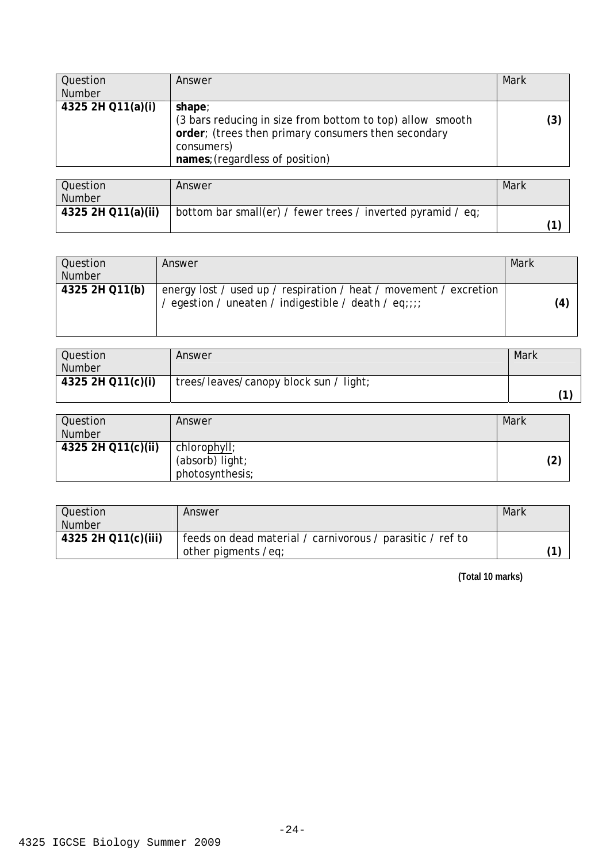| Question          | Answer                                                                                                                                                                      | Mark |
|-------------------|-----------------------------------------------------------------------------------------------------------------------------------------------------------------------------|------|
| <b>Number</b>     |                                                                                                                                                                             |      |
| 4325 2H Q11(a)(i) | shape;<br>(3 bars reducing in size from bottom to top) allow smooth<br>order; (trees then primary consumers then secondary<br>consumers)<br>names; (regardless of position) | (3)  |

| Question           | Answer                                                      | Mark |  |
|--------------------|-------------------------------------------------------------|------|--|
| <b>Number</b>      |                                                             |      |  |
| 4325 2H Q11(a)(ii) | bottom bar small(er) / fewer trees / inverted pyramid / eq; |      |  |
|                    |                                                             |      |  |

| Question       | Answer                                                                                                                   | Mark |
|----------------|--------------------------------------------------------------------------------------------------------------------------|------|
| <b>Number</b>  |                                                                                                                          |      |
| 4325 2H Q11(b) | energy lost / used up / respiration / heat / movement / excretion<br>'egestion / uneaten / indigestible / death / eq;;;; | (4)  |

| Question          | Answer                                 | Mark |
|-------------------|----------------------------------------|------|
| Number            |                                        |      |
| 4325 2H Q11(c)(i) | trees/leaves/canopy block sun / light; |      |
|                   |                                        |      |

| Question<br>Number | Answer          | Mark |
|--------------------|-----------------|------|
| 4325 2H Q11(c)(ii) | chlorophyll;    |      |
|                    | (absorb) light; | (2)  |
|                    | photosynthesis; |      |

| Question            | Answer                                                    | Mark |
|---------------------|-----------------------------------------------------------|------|
| Number              |                                                           |      |
| 4325 2H Q11(c)(iii) | feeds on dead material / carnivorous / parasitic / ref to |      |
|                     | other pigments /eq;                                       |      |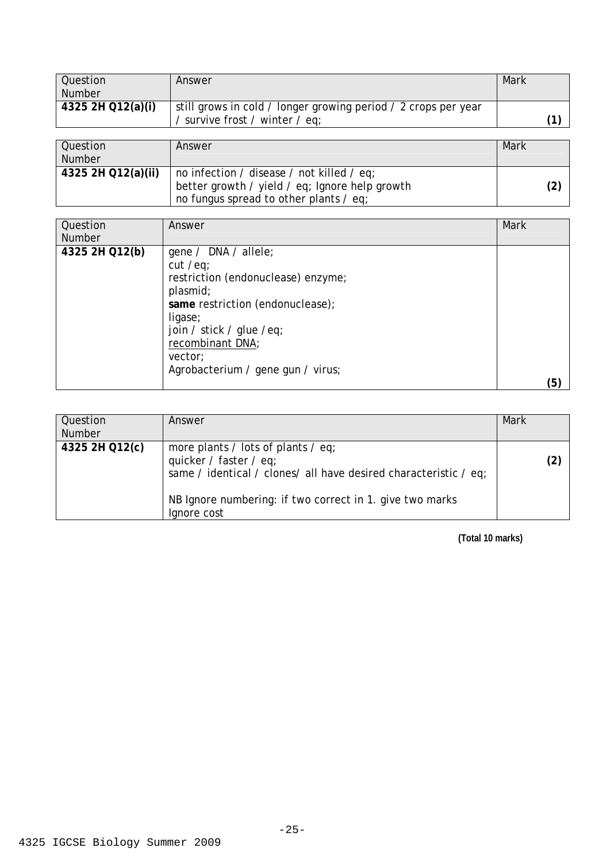| Question          | Answer                                                         | <b>Mark</b> |
|-------------------|----------------------------------------------------------------|-------------|
| <b>Number</b>     |                                                                |             |
| 4325 2H Q12(a)(i) | still grows in cold / longer growing period / 2 crops per year |             |
|                   | survive frost / winter / eq;                                   |             |
|                   |                                                                |             |
| Question          | Answer                                                         | <b>Mark</b> |
| <b>Number</b>     |                                                                |             |

| <b>Number</b>      |                                                |  |
|--------------------|------------------------------------------------|--|
| 4325 2H Q12(a)(ii) | no infection / disease / not killed / eq;      |  |
|                    | better growth / yield / eq; Ignore help growth |  |
|                    | no fungus spread to other plants / eq;         |  |

| Question<br><b>Number</b> | Answer                                                                                                                                                                                                                             | Mark |
|---------------------------|------------------------------------------------------------------------------------------------------------------------------------------------------------------------------------------------------------------------------------|------|
| 4325 2H Q12(b)            | gene / DNA / allele;<br>cut /eq;<br>restriction (endonuclease) enzyme;<br>plasmid;<br>same restriction (endonuclease);<br>ligase;<br>join / stick / glue / eq;<br>recombinant DNA;<br>vector;<br>Agrobacterium / gene gun / virus; | (5)  |

| Question<br><b>Number</b> | Answer                                                                                                                                                                                                      | Mark |
|---------------------------|-------------------------------------------------------------------------------------------------------------------------------------------------------------------------------------------------------------|------|
| 4325 2H Q12(c)            | more plants / lots of plants / eq;<br>quicker / faster / eq;<br>same / identical / clones/ all have desired characteristic / eq;<br>NB Ignore numbering: if two correct in 1. give two marks<br>Ignore cost |      |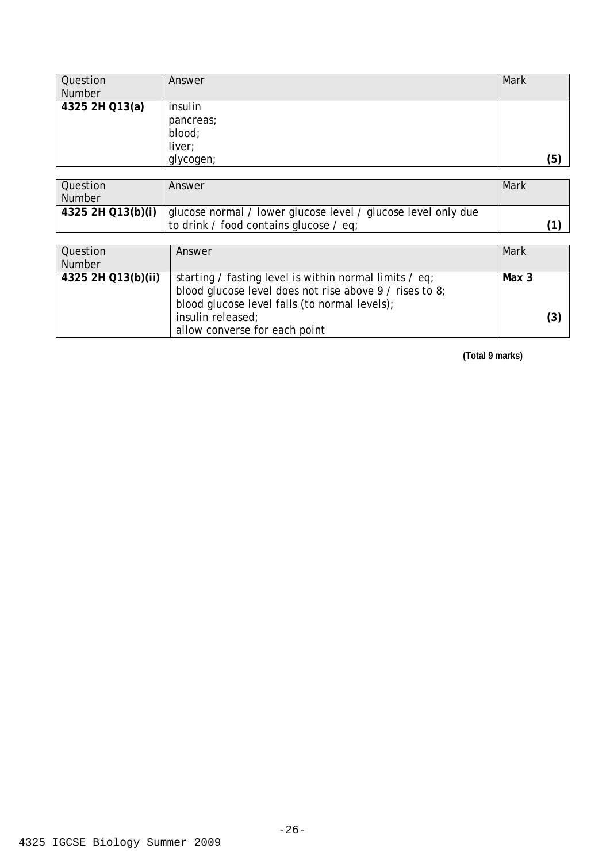| Question       | Answer    | Mark |
|----------------|-----------|------|
| Number         |           |      |
| 4325 2H Q13(a) | insulin   |      |
|                | pancreas; |      |
|                | blood;    |      |
|                | liver;    |      |
|                | glycogen; | (5)  |

| Question      | Answer                                                                            | Mark |
|---------------|-----------------------------------------------------------------------------------|------|
| <b>Number</b> |                                                                                   |      |
|               | 4325 2H Q13(b)(i)   glucose normal / lower glucose level / glucose level only due |      |
|               | to drink / food contains glucose / eq;                                            |      |

| Question                                                                                                                                                                                                                                       | Answer | <b>Mark</b> |     |
|------------------------------------------------------------------------------------------------------------------------------------------------------------------------------------------------------------------------------------------------|--------|-------------|-----|
| <b>Number</b>                                                                                                                                                                                                                                  |        |             |     |
| 4325 2H Q13(b)(ii)<br>starting / fasting level is within normal limits / eq;<br>blood glucose level does not rise above 9 / rises to 8;<br>blood glucose level falls (to normal levels);<br>insulin released;<br>allow converse for each point |        | Max 3       | (3) |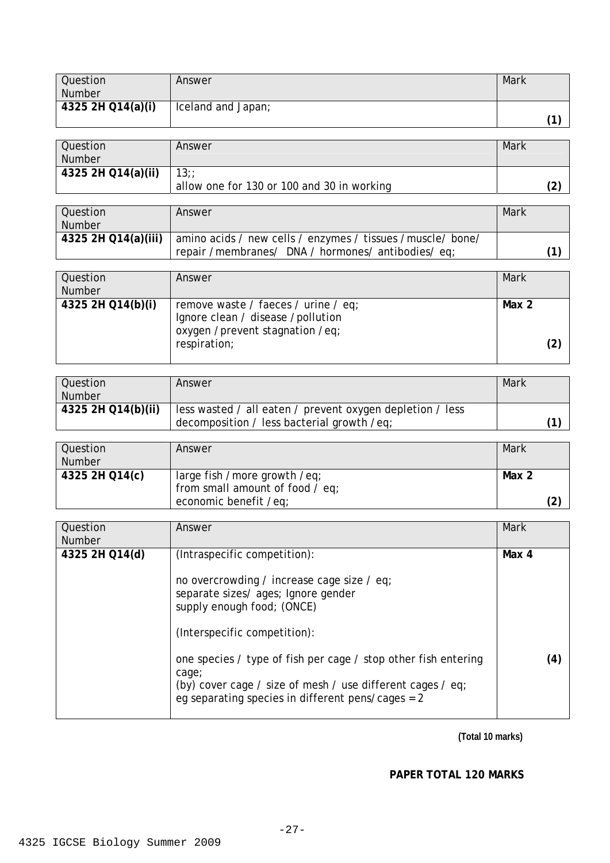| Question          | Answer             | Mark |
|-------------------|--------------------|------|
| <b>Number</b>     |                    |      |
| 4325 2H Q14(a)(i) | Iceland and Japan; |      |
|                   |                    | 11   |

| Question           | Answer                                     | Mark           |
|--------------------|--------------------------------------------|----------------|
| Number             |                                            |                |
| 4325 2H Q14(a)(ii) | 13:                                        |                |
|                    | allow one for 130 or 100 and 30 in working | $\overline{2}$ |

| Question      | Answer                                                                         | Mark |
|---------------|--------------------------------------------------------------------------------|------|
| <b>Number</b> |                                                                                |      |
|               | 4325 2H Q14(a)(iii) amino acids / new cells / enzymes / tissues /muscle/ bone/ |      |
|               | repair/membranes/DNA/hormones/antibodies/eq;                                   |      |

| Question<br><b>Number</b> | Answer                                                                                                                      | Mark         |
|---------------------------|-----------------------------------------------------------------------------------------------------------------------------|--------------|
| 4325 2H Q14(b)(i)         | remove waste / faeces / urine / eq;<br>Ignore clean / disease /pollution<br>oxygen /prevent stagnation /eq;<br>respiration; | Max 2<br>(2) |

| <b>Question</b><br>Number | Answer                                                                                                  | Mark |
|---------------------------|---------------------------------------------------------------------------------------------------------|------|
| 4325 2H Q14(b)(ii)        | less wasted / all eaten / prevent oxygen depletion / less<br>decomposition / less bacterial growth /eq; |      |

| Question       | Answer                                                            | Mark  |                   |
|----------------|-------------------------------------------------------------------|-------|-------------------|
| <b>Number</b>  |                                                                   |       |                   |
| 4325 2H Q14(c) | large fish / more growth / eq;<br>from small amount of food / eq; | Max 2 |                   |
|                | economic benefit /eq;                                             |       | $\left( 2\right)$ |

| Question<br><b>Number</b> | Answer                                                                                                                                                                                     | Mark  |
|---------------------------|--------------------------------------------------------------------------------------------------------------------------------------------------------------------------------------------|-------|
| 4325 2H Q14(d)            | (Intraspecific competition):<br>no overcrowding / increase cage size / eq;<br>separate sizes/ ages; Ignore gender<br>supply enough food; (ONCE)<br>(Interspecific competition):            | Max 4 |
|                           | one species / type of fish per cage / stop other fish entering<br>cage;<br>(by) cover cage / size of mesh / use different cages / eq;<br>eg separating species in different pens/cages = 2 | (4)   |

**PAPER TOTAL 120 MARKS**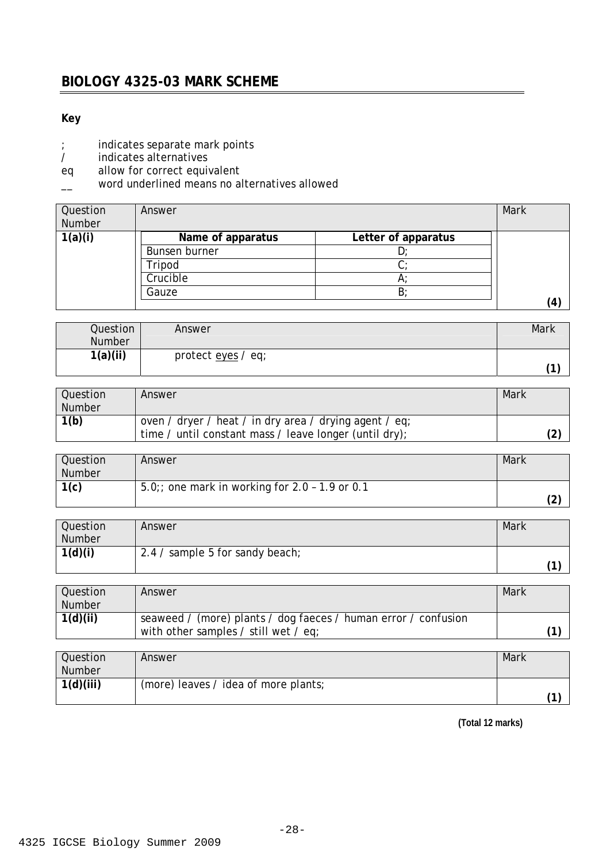#### **BIOLOGY 4325-03 MARK SCHEME**

#### **Key**

- ; indicates separate mark points<br>/ indicates alternatives
- / indicates alternatives
- eq allow for correct equivalent
- $\overline{\phantom{a}}$  word underlined means no alternatives allowed

| Question<br><b>Number</b> | Answer            |                     | Mark |
|---------------------------|-------------------|---------------------|------|
| 1(a)(i)                   | Name of apparatus | Letter of apparatus |      |
|                           | Bunsen burner     | D                   |      |
|                           | Tripod            |                     |      |
|                           | Crucible          | $\mathsf{A}$        |      |
|                           | Gauze             | B                   |      |
|                           |                   |                     | (4   |

| Question      | Answer             | Mark |
|---------------|--------------------|------|
| <b>Number</b> |                    |      |
| 1(a)(ii)      | protect eyes / eq; |      |
|               |                    |      |

| Question      | Answer                                                 | Mark |
|---------------|--------------------------------------------------------|------|
| <b>Number</b> |                                                        |      |
| 1(b)          | oven / dryer / heat / in dry area / drying agent / eq. |      |
|               | time / until constant mass / leave longer (until dry); |      |

| Question<br><b>Number</b> | Answer                                           | Mark                       |
|---------------------------|--------------------------------------------------|----------------------------|
| 1(c)                      | 5.0;; one mark in working for $2.0 - 1.9$ or 0.1 | $\tilde{\phantom{a}}$<br>◢ |

| Question<br>Number | Answer                          | Mark |
|--------------------|---------------------------------|------|
| 1(d)(i)            | 2.4 / sample 5 for sandy beach; |      |

| <b>Question</b><br>Number | Answer                                                                                                 | Mark |
|---------------------------|--------------------------------------------------------------------------------------------------------|------|
| 1(d)(ii)                  | seaweed / (more) plants / dog faeces / human error / confusion<br>with other samples / still wet / eq; |      |

| Question      | Answer                               | Mark |
|---------------|--------------------------------------|------|
| <b>Number</b> |                                      |      |
| 1(d)(iii)     | (more) leaves / idea of more plants; |      |
|               |                                      |      |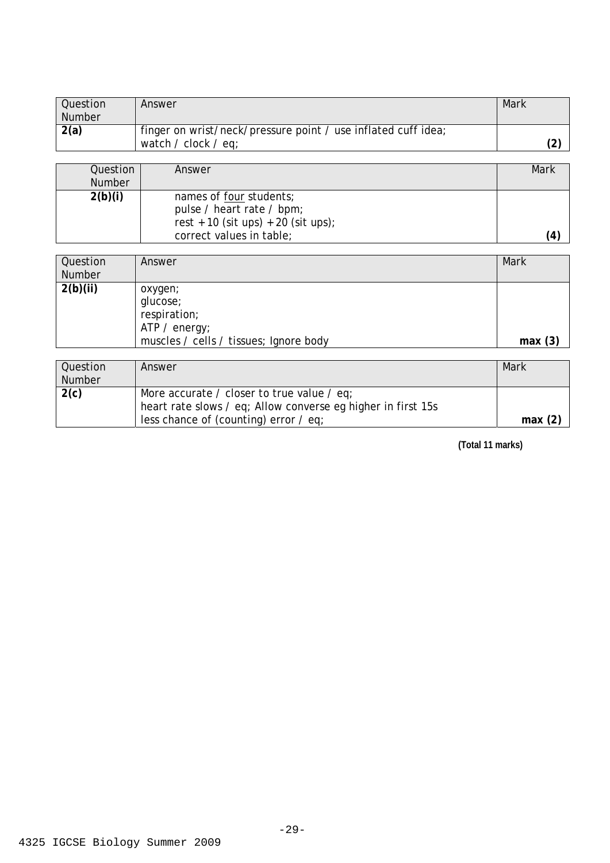| Question<br><b>Number</b> | Answer                                                                               | Mark              |
|---------------------------|--------------------------------------------------------------------------------------|-------------------|
| 2(a)                      | finger on wrist/neck/pressure point / use inflated cuff idea;<br>watch / clock / eq; | $\left( 2\right)$ |

| Question<br><b>Number</b> | Answer                                                                                                                    | Mark             |
|---------------------------|---------------------------------------------------------------------------------------------------------------------------|------------------|
| 2(b)(i)                   | names of four students;<br>pulse / heart rate / bpm;<br>$rest + 10 (sit ups) + 20 (sit ups);$<br>correct values in table; | $\bf{^{\prime}}$ |

| Question<br><b>Number</b> | Answer                                                                                         | <b>Mark</b> |
|---------------------------|------------------------------------------------------------------------------------------------|-------------|
| 2(b)(ii)                  | oxygen;<br>glucose;<br>respiration;<br>ATP / energy;<br>muscles / cells / tissues; Ignore body | max(3)      |

| Question | Answer                                                       | Mark   |
|----------|--------------------------------------------------------------|--------|
| Number   |                                                              |        |
| 2(c)     | More accurate / closer to true value / eq;                   |        |
|          | heart rate slows / eq; Allow converse eg higher in first 15s |        |
|          | less chance of (counting) error / eq;                        | max(2) |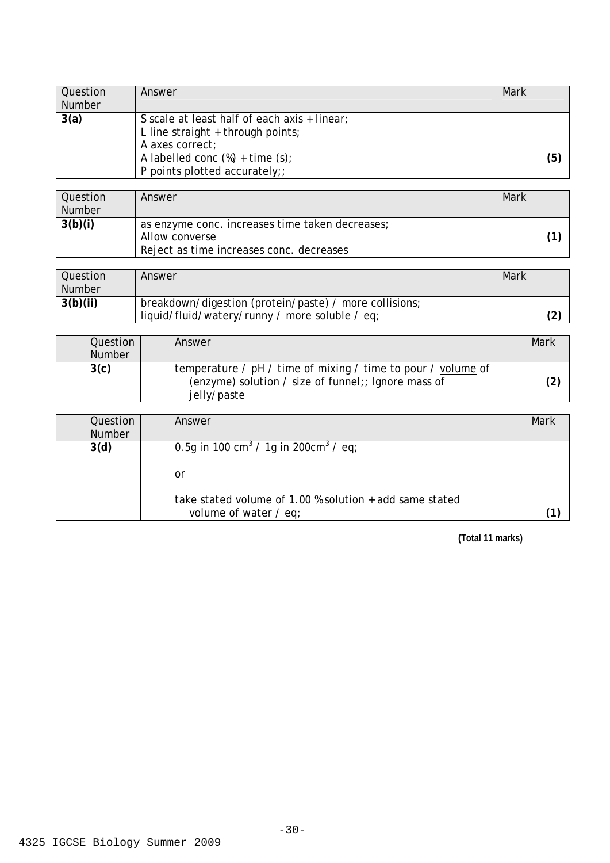| Question<br><b>Number</b> | Answer                                                                                                                                                                    | <b>Mark</b> |
|---------------------------|---------------------------------------------------------------------------------------------------------------------------------------------------------------------------|-------------|
| 3(a)                      | S scale at least half of each axis + linear;<br>L line straight $+$ through points;<br>A axes correct;<br>A labelled conc $%$ + time (s);<br>P points plotted accurately; | (5)         |

| Question<br><b>Number</b> | Answer                                                                                                        | Mark |
|---------------------------|---------------------------------------------------------------------------------------------------------------|------|
| 3(b)(i)                   | as enzyme conc. increases time taken decreases;<br>Allow converse<br>Reject as time increases conc. decreases |      |

| Question<br><b>Number</b> | Answer                                                                                                   | Mark              |
|---------------------------|----------------------------------------------------------------------------------------------------------|-------------------|
| 3(b)(ii)                  | breakdown/digestion (protein/paste) / more collisions;<br>liquid/fluid/watery/runny / more soluble / eq; | $\left( 2\right)$ |

| Question<br><b>Number</b> | Answer                                                                                                                            | Mark |
|---------------------------|-----------------------------------------------------------------------------------------------------------------------------------|------|
| 3(c)                      | temperature / pH / time of mixing / time to pour / volume of<br>(enzyme) solution / size of funnel; Ignore mass of<br>jelly/paste | (2)  |

| Question<br><b>Number</b> | Answer                                                       | Mark |
|---------------------------|--------------------------------------------------------------|------|
| 3(d)                      | 0.5g in 100 cm <sup>3</sup> / 1g in 200cm <sup>3</sup> / eq; |      |
|                           | or                                                           |      |
|                           | take stated volume of 1.00 % solution + add same stated      |      |
|                           | volume of water / eq;                                        |      |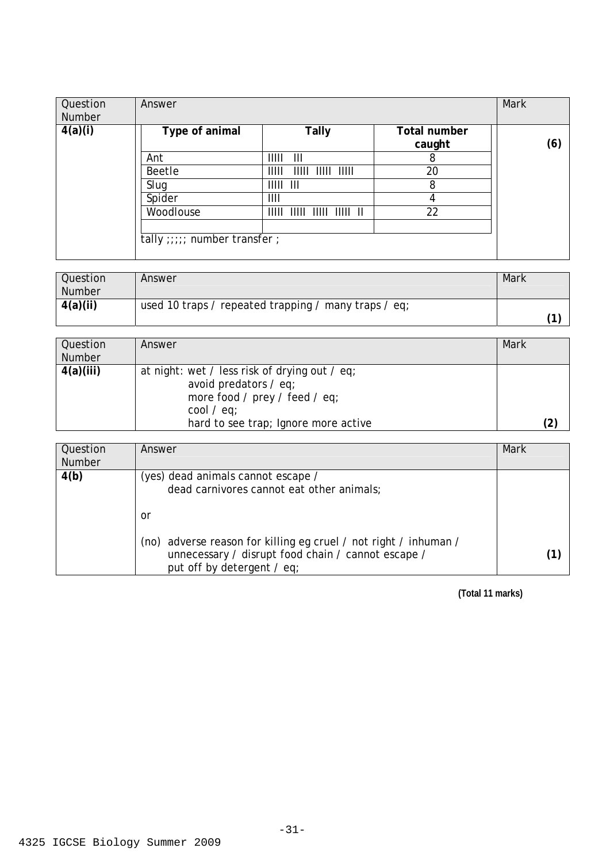| Question<br><b>Number</b> | Answer                        | <b>Mark</b>                          |                               |     |
|---------------------------|-------------------------------|--------------------------------------|-------------------------------|-----|
| 4(a)(i)                   | Type of animal                | <b>Tally</b>                         | <b>Total number</b><br>caught | (6) |
|                           | Ant                           | 11111<br>Ш                           | 8                             |     |
|                           | Beetle                        | IIIIIIIIIII<br>$\parallel$           | 20                            |     |
|                           | Slug                          | $IIIII$ $III$                        | 8                             |     |
|                           | Spider                        | Ш                                    | 4                             |     |
|                           | Woodlouse                     | $11111$ $11111$ $11111$ $11111$ $11$ | 22                            |     |
|                           |                               |                                      |                               |     |
|                           | tally ::::; number transfer ; |                                      |                               |     |

| Question<br><b>Number</b> | Answer                                               | Mark |
|---------------------------|------------------------------------------------------|------|
| 4(a)(ii)                  | used 10 traps / repeated trapping / many traps / eq; |      |

| Question<br><b>Number</b> | Answer                                                                                                                                                                | Mark |
|---------------------------|-----------------------------------------------------------------------------------------------------------------------------------------------------------------------|------|
| 4(a)(iii)                 | at night: wet / less risk of drying out / eq;<br>avoid predators $\ell$ eq;<br>more food / prey / feed / eq;<br>$\cosh$ / eq;<br>hard to see trap; Ignore more active |      |

| Question<br><b>Number</b> | Answer                                                                                                                                               | Mark |
|---------------------------|------------------------------------------------------------------------------------------------------------------------------------------------------|------|
| 4(b)                      | (yes) dead animals cannot escape /<br>dead carnivores cannot eat other animals;<br>or                                                                |      |
|                           | (no) adverse reason for killing eg cruel / not right / inhuman /<br>unnecessary / disrupt food chain / cannot escape /<br>put off by detergent / eq; |      |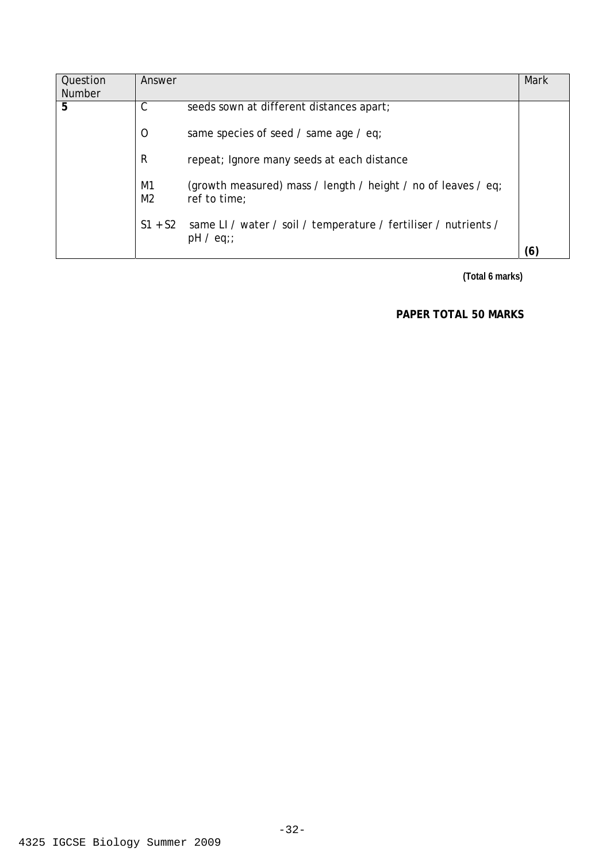| Question<br><b>Number</b> | Answer               |                                                                                | Mark |
|---------------------------|----------------------|--------------------------------------------------------------------------------|------|
| 5                         | С                    | seeds sown at different distances apart;                                       |      |
|                           | 0                    | same species of seed / same age / eq;                                          |      |
|                           | R                    | repeat; Ignore many seeds at each distance                                     |      |
|                           | M1<br>M <sub>2</sub> | (growth measured) mass / length / height / no of leaves / eq.<br>ref to time:  |      |
|                           | $S1 + S2$            | same LI / water / soil / temperature / fertiliser / nutrients /<br>$pH / eq$ ; |      |
|                           |                      |                                                                                | (6)  |

**PAPER TOTAL 50 MARKS**